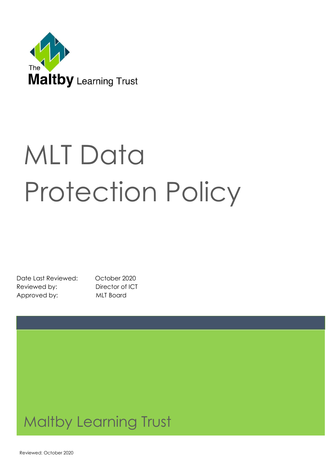

# **MLT Data** Protection Policy

Date Last Reviewed: October 2020 Reviewed by: Director of ICT Approved by: MLT Board

# Maltby Learning Trust

Reviewed: October 2020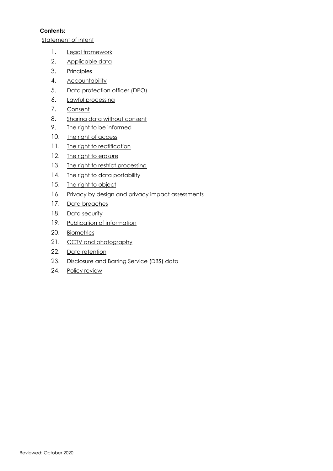#### **Contents:**

Statement of intent

- 1. Legal framework
- 2. Applicable data
- 3. Principles
- 4. Accountability
- 5. Data protection officer (DPO)
- 6. Lawful processing
- 7. Consent
- 8. Sharing data without consent
- 9. The right to be informed
- 10. The right of access
- 11. The right to rectification
- 12. The right to erasure
- 13. The right to restrict processing
- 14. The right to data portability
- 15. The right to object
- 16. Privacy by design and privacy impact assessments
- 17. Data breaches
- 18. Data security
- 19. Publication of information
- 20. Biometrics
- 21. CCTV and photography
- 22. Data retention
- 23. Disclosure and Barring Service (DBS) data
- 24. Policy review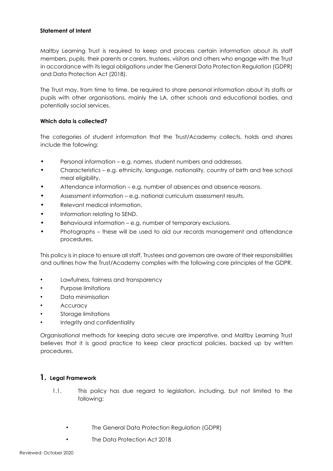#### **Statement of Intent**

Maltby Learning Trust is required to keep and process certain information about its staff members, pupils, their parents or carers, trustees, visitors and others who engage with the Trust in accordance with its legal obligations under the General Data Protection Regulation (GDPR) and Data Protection Act (2018).

The Trust may, from time to time, be required to share personal information about its staffs or pupils with other organisations, mainly the LA, other schools and educational bodies, and potentially social services.

#### **Which data is collected?**

The categories of student information that the Trust/Academy collects, holds and shares include the following:

- Personal information e.g. names, student numbers and addresses.
- Characteristics e.g. ethnicity, language, nationality, country of birth and free school meal eligibility.
- Attendance information e.g. number of absences and absence reasons.
- Assessment information e.g. national curriculum assessment results.
- Relevant medical information.
- Information relating to SEND.
- Behavioural information e.g. number of temporary exclusions.
- Photographs these will be used to aid our records management and attendance procedures.

This policy is in place to ensure all staff, Trustees and governors are aware of their responsibilities and outlines how the Trust/Academy complies with the following core principles of the GDPR.

- Lawfulness, fairness and transparency
- Purpose limitations
- Data minimisation
- **Accuracy**
- Storage limitations
- Integrity and confidentiality

Organisational methods for keeping data secure are imperative, and Maltby Learning Trust believes that it is good practice to keep clear practical policies, backed up by written procedures.

#### **1. Legal Framework**

- 1.1. This policy has due regard to legislation, including, but not limited to the following:
	- The General Data Protection Regulation (GDPR)
	- The Data Protection Act 2018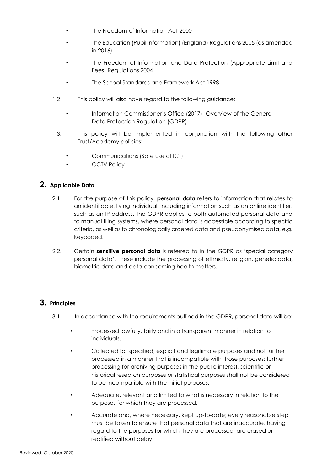- The Freedom of Information Act 2000
- The Education (Pupil Information) (England) Regulations 2005 (as amended in 2016)
- The Freedom of Information and Data Protection (Appropriate Limit and Fees) Regulations 2004
- The School Standards and Framework Act 1998
- 1.2 This policy will also have regard to the following guidance:
	- Information Commissioner's Office (2017) 'Overview of the General Data Protection Regulation (GDPR)'
- 1.3. This policy will be implemented in conjunction with the following other Trust/Academy policies:
	- Communications (Safe use of ICT)
	- **CCTV Policy**

# **2. Applicable Data**

- 2.1. For the purpose of this policy, **personal data** refers to information that relates to an identifiable, living individual, including information such as an online identifier, such as an IP address. The GDPR applies to both automated personal data and to manual filing systems, where personal data is accessible according to specific criteria, as well as to chronologically ordered data and pseudonymised data, e.g. keycoded.
- 2.2. Certain **sensitive personal data** is referred to in the GDPR as 'special category personal data'. These include the processing of ethnicity, religion, genetic data, biometric data and data concerning health matters.

# **3. Principles**

- 3.1. In accordance with the requirements outlined in the GDPR, personal data will be:
	- Processed lawfully, fairly and in a transparent manner in relation to individuals.
	- Collected for specified, explicit and legitimate purposes and not further processed in a manner that is incompatible with those purposes; further processing for archiving purposes in the public interest, scientific or historical research purposes or statistical purposes shall not be considered to be incompatible with the initial purposes.
	- Adequate, relevant and limited to what is necessary in relation to the purposes for which they are processed.
	- Accurate and, where necessary, kept up-to-date; every reasonable step must be taken to ensure that personal data that are inaccurate, having regard to the purposes for which they are processed, are erased or rectified without delay.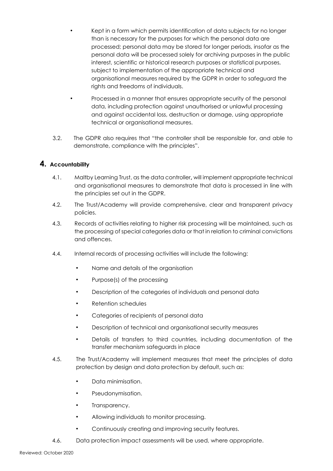- Kept in a form which permits identification of data subjects for no longer than is necessary for the purposes for which the personal data are processed; personal data may be stored for longer periods, insofar as the personal data will be processed solely for archiving purposes in the public interest, scientific or historical research purposes or statistical purposes, subject to implementation of the appropriate technical and organisational measures required by the GDPR in order to safeguard the rights and freedoms of individuals.
- Processed in a manner that ensures appropriate security of the personal data, including protection against unauthorised or unlawful processing and against accidental loss, destruction or damage, using appropriate technical or organisational measures.
- 3.2. The GDPR also requires that "the controller shall be responsible for, and able to demonstrate, compliance with the principles".

#### **4. Accountability**

- 4.1. Maltby Learning Trust, as the data controller**,** will implement appropriate technical and organisational measures to demonstrate that data is processed in line with the principles set out in the GDPR.
- 4.2. The Trust/Academy will provide comprehensive, clear and transparent privacy policies.
- 4.3. Records of activities relating to higher risk processing will be maintained, such as the processing of special categories data or that in relation to criminal convictions and offences.
- 4.4. Internal records of processing activities will include the following:
	- Name and details of the organisation
	- Purpose(s) of the processing
	- Description of the categories of individuals and personal data
	- Retention schedules
	- Categories of recipients of personal data
	- Description of technical and organisational security measures
	- Details of transfers to third countries, including documentation of the transfer mechanism safeguards in place
- 4.5. The Trust/Academy will implement measures that meet the principles of data protection by design and data protection by default, such as:
	- Data minimisation.
	- Pseudonymisation.
	- Transparency.
	- Allowing individuals to monitor processing.
	- Continuously creating and improving security features.
- 4.6. Data protection impact assessments will be used, where appropriate.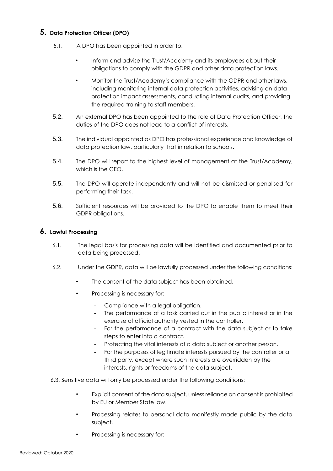#### **5. Data Protection Officer (DPO)**

- 5.1. A DPO has been appointed in order to:
	- Inform and advise the Trust/Academy and its employees about their obligations to comply with the GDPR and other data protection laws.
	- Monitor the Trust/Academy's compliance with the GDPR and other laws, including monitoring internal data protection activities, advising on data protection impact assessments, conducting internal audits, and providing the required training to staff members.
- 5.2. An external DPO has been appointed to the role of Data Protection Officer, the duties of the DPO does not lead to a conflict of interests.
- 5.3. The individual appointed as DPO has professional experience and knowledge of data protection law, particularly that in relation to schools.
- 5.4. The DPO will report to the highest level of management at the Trust/Academy, which is the CEO.
- 5.5. The DPO will operate independently and will not be dismissed or penalised for performing their task.
- 5.6. Sufficient resources will be provided to the DPO to enable them to meet their GDPR obligations.

#### **6. Lawful Processing**

- 6.1. The legal basis for processing data will be identified and documented prior to data being processed.
- 6.2. Under the GDPR, data will be lawfully processed under the following conditions:
	- The consent of the data subject has been obtained.
	- Processing is necessary for:
		- Compliance with a legal obligation.
		- The performance of a task carried out in the public interest or in the exercise of official authority vested in the controller.
		- For the performance of a contract with the data subject or to take steps to enter into a contract.
		- Protecting the vital interests of a data subject or another person.
		- For the purposes of legitimate interests pursued by the controller or a third party, except where such interests are overridden by the interests, rights or freedoms of the data subject.
- 6.3. Sensitive data will only be processed under the following conditions:
	- Explicit consent of the data subject, unless reliance on consent is prohibited by EU or Member State law.
	- Processing relates to personal data manifestly made public by the data subject.
	- Processing is necessary for: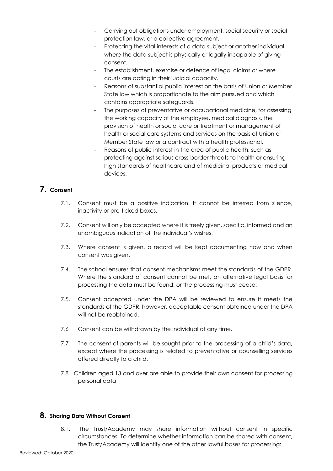- Carrying out obligations under employment, social security or social protection law, or a collective agreement.
- Protecting the vital interests of a data subject or another individual where the data subject is physically or legally incapable of giving consent.
- The establishment, exercise or defence of legal claims or where courts are acting in their judicial capacity.
- Reasons of substantial public interest on the basis of Union or Member State law which is proportionate to the aim pursued and which contains appropriate safeguards.
- The purposes of preventative or occupational medicine, for assessing the working capacity of the employee, medical diagnosis, the provision of health or social care or treatment or management of health or social care systems and services on the basis of Union or Member State law or a contract with a health professional.
- Reasons of public interest in the area of public health, such as protecting against serious cross-border threats to health or ensuring high standards of healthcare and of medicinal products or medical devices.

# **7. Consent**

- 7.1. Consent must be a positive indication. It cannot be inferred from silence, inactivity or pre-ticked boxes.
- 7.2. Consent will only be accepted where it is freely given, specific, informed and an unambiguous indication of the individual's wishes.
- 7.3. Where consent is given, a record will be kept documenting how and when consent was given.
- 7.4. The school ensures that consent mechanisms meet the standards of the GDPR. Where the standard of consent cannot be met, an alternative legal basis for processing the data must be found, or the processing must cease.
- 7.5. Consent accepted under the DPA will be reviewed to ensure it meets the standards of the GDPR; however, acceptable consent obtained under the DPA will not be reobtained.
- 7.6 Consent can be withdrawn by the individual at any time.
- 7.7 The consent of parents will be sought prior to the processing of a child's data, except where the processing is related to preventative or counselling services offered directly to a child.
- 7.8 Children aged 13 and over are able to provide their own consent for processing personal data

# **8. Sharing Data Without Consent**

8.1. The Trust/Academy may share information without consent in specific circumstances. To determine whether information can be shared with consent, the Trust/Academy will identify one of the other lawful bases for processing: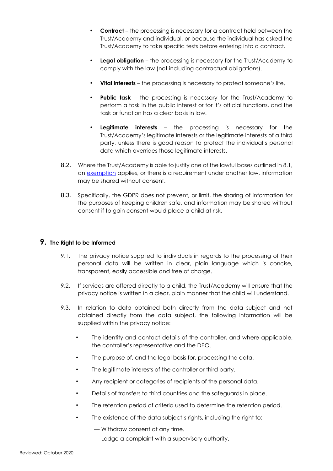- **Contract** the processing is necessary for a contract held between the Trust/Academy and individual, or because the individual has asked the Trust/Academy to take specific tests before entering into a contract.
- **Legal obligation** the processing is necessary for the Trust/Academy to comply with the law (not including contractual obligations).
- **Vital interests** the processing is necessary to protect someone's life.
- **Public task** the processing is necessary for the Trust/Academy to perform a task in the public interest or for it's official functions, and the task or function has a clear basis in law.
- **Legitimate interests** the processing is necessary for the Trust/Academy's legitimate interests or the legitimate interests of a third party, unless there is good reason to protect the individual's personal data which overrides those legitimate interests.
- 8.2. Where the Trust/Academy is able to justify one of the lawful bases outlined in 8.1, an [exemption](https://ico.org.uk/for-organisations/guide-to-the-general-data-protection-regulation-gdpr/exemptions/) [a](https://ico.org.uk/for-organisations/guide-to-the-general-data-protection-regulation-gdpr/exemptions/)pplies, or there is a requirement under another law, information may be shared without consent.
- 8.3. Specifically, the GDPR does not prevent, or limit, the sharing of information for the purposes of keeping children safe, and information may be shared without consent if to gain consent would place a child at risk.

#### **9. The Right to be Informed**

- 9.1. The privacy notice supplied to individuals in regards to the processing of their personal data will be written in clear, plain language which is concise, transparent, easily accessible and free of charge.
- 9.2. If services are offered directly to a child, the Trust/Academy will ensure that the privacy notice is written in a clear, plain manner that the child will understand.
- 9.3. In relation to data obtained both directly from the data subject and not obtained directly from the data subject, the following information will be supplied within the privacy notice:
	- The identity and contact details of the controller, and where applicable, the controller's representative and the DPO.
	- The purpose of, and the legal basis for, processing the data.
	- The legitimate interests of the controller or third party.
	- Any recipient or categories of recipients of the personal data.
	- Details of transfers to third countries and the safeguards in place.
	- The retention period of criteria used to determine the retention period.
	- The existence of the data subject's rights, including the right to:
		- Withdraw consent at any time.
		- Lodge a complaint with a supervisory authority.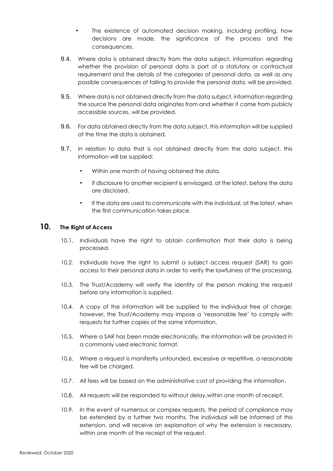- The existence of automated decision making, including profiling, how decisions are made, the significance of the process and the consequences.
- 9.4. Where data is obtained directly from the data subject, information regarding whether the provision of personal data is part of a statutory or contractual requirement and the details of the categories of personal data, as well as any possible consequences of failing to provide the personal data, will be provided.
- 9.5. Where data is not obtained directly from the data subject, information regarding the source the personal data originates from and whether it came from publicly accessible sources, will be provided.
- 9.6. For data obtained directly from the data subject, this information will be supplied at the time the data is obtained.
- 9.7. In relation to data that is not obtained directly from the data subject, this information will be supplied:
	- Within one month of having obtained the data.
	- If disclosure to another recipient is envisaged, at the latest, before the data are disclosed.
	- If the data are used to communicate with the individual, at the latest, when the first communication takes place.

#### **10. The Right of Access**

- 10.1. Individuals have the right to obtain confirmation that their data is being processed.
- 10.2. Individuals have the right to submit a subject access request (SAR) to gain access to their personal data in order to verify the lawfulness of the processing.
- 10.3. The Trust/Academy will verify the identity of the person making the request before any information is supplied.
- 10.4. A copy of the information will be supplied to the individual free of charge; however, the Trust/Academy may impose a 'reasonable fee' to comply with requests for further copies of the same information.
- 10.5. Where a SAR has been made electronically, the information will be provided in a commonly used electronic format.
- 10.6. Where a request is manifestly unfounded, excessive or repetitive, a reasonable fee will be charged.
- 10.7. All fees will be based on the administrative cost of providing the information.
- 10.8. All requests will be responded to without delay,within one month of receipt.
- 10.9. In the event of numerous or complex requests, the period of compliance may be extended by a further two months. The individual will be informed of this extension, and will receive an explanation of why the extension is necessary, within one month of the receipt of the request.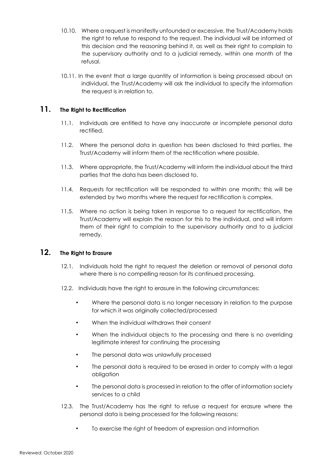- 10.10. Where a request is manifestly unfounded or excessive, the Trust/Academy holds the right to refuse to respond to the request. The individual will be informed of this decision and the reasoning behind it, as well as their right to complain to the supervisory authority and to a judicial remedy, within one month of the refusal.
- 10.11. In the event that a large quantity of information is being processed about an individual, the Trust/Academy will ask the individual to specify the information the request is in relation to.

# **11. The Right to Rectification**

- 11.1. Individuals are entitled to have any inaccurate or incomplete personal data rectified.
- 11.2. Where the personal data in question has been disclosed to third parties, the Trust/Academy will inform them of the rectification where possible.
- 11.3. Where appropriate, the Trust/Academy will inform the individual about the third parties that the data has been disclosed to.
- 11.4. Requests for rectification will be responded to within one month; this will be extended by two months where the request for rectification is complex.
- 11.5. Where no action is being taken in response to a request for rectification, the Trust/Academy will explain the reason for this to the individual, and will inform them of their right to complain to the supervisory authority and to a judicial remedy.

# **12. The Right to Erasure**

- 12.1. Individuals hold the right to request the deletion or removal of personal data where there is no compelling reason for its continued processing.
- 12.2. Individuals have the right to erasure in the following circumstances:
	- Where the personal data is no longer necessary in relation to the purpose for which it was originally collected/processed
	- When the individual withdraws their consent
	- When the individual objects to the processing and there is no overriding legitimate interest for continuing the processing
	- The personal data was unlawfully processed
	- The personal data is required to be erased in order to comply with a legal obligation
	- The personal data is processed in relation to the offer of information society services to a child
- 12.3. The Trust/Academy has the right to refuse a request for erasure where the personal data is being processed for the following reasons:
	- To exercise the right of freedom of expression and information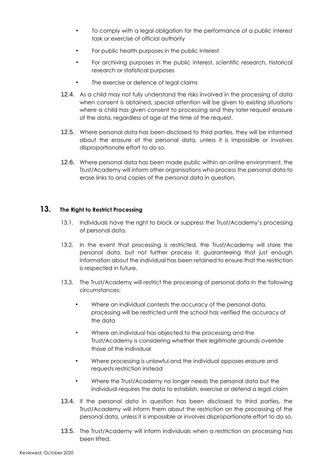- To comply with a legal obligation for the performance of a public interest task or exercise of official authority
- For public health purposes in the public interest
- For archiving purposes in the public interest, scientific research, historical research or statistical purposes
- The exercise or defence of legal claims
- 12.4. As a child may not fully understand the risks involved in the processing of data when consent is obtained, special attention will be given to existing situations where a child has given consent to processing and they later request erasure of the data, regardless of age at the time of the request.
- 12.5. Where personal data has been disclosed to third parties, they will be informed about the erasure of the personal data, unless it is impossible or involves disproportionate effort to do so.
- 12.6. Where personal data has been made public within an online environment, the Trust/Academy will inform other organisations who process the personal data to erase links to and copies of the personal data in question.

#### **13. The Right to Restrict Processing**

- 13.1. Individuals have the right to block or suppress the Trust/Academy's processing of personal data.
- 13.2. In the event that processing is restricted, the Trust/Academy will store the personal data, but not further process it, guaranteeing that just enough information about the individual has been retained to ensure that the restriction is respected in future.
- 13.3. The Trust/Academy will restrict the processing of personal data in the following circumstances:
	- Where an individual contests the accuracy of the personal data, processing will be restricted until the school has verified the accuracy of the data
	- Where an individual has objected to the processing and the Trust/Academy is considering whether their legitimate grounds override those of the individual
	- Where processing is unlawful and the individual opposes erasure and requests restriction instead
	- Where the Trust/Academy no longer needs the personal data but the individual requires the data to establish, exercise or defend a legal claim
- 13.4. If the personal data in question has been disclosed to third parties, the Trust/Academy will inform them about the restriction on the processing of the personal data, unless it is impossible or involves disproportionate effort to do so.
- 13.5. The Trust/Academy will inform individuals when a restriction on processing has been lifted.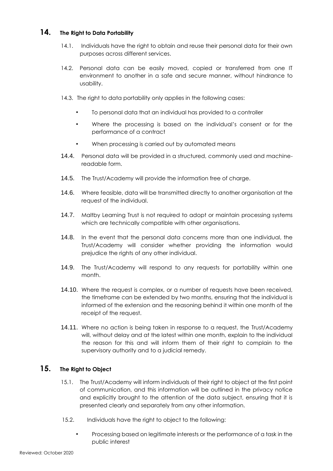#### **14. The Right to Data Portability**

- 14.1. Individuals have the right to obtain and reuse their personal data for their own purposes across different services.
- 14.2. Personal data can be easily moved, copied or transferred from one IT environment to another in a safe and secure manner, without hindrance to usability.
- 14.3. The right to data portability only applies in the following cases:
	- To personal data that an individual has provided to a controller
	- Where the processing is based on the individual's consent or for the performance of a contract
	- When processing is carried out by automated means
- 14.4. Personal data will be provided in a structured, commonly used and machinereadable form.
- 14.5. The Trust/Academy will provide the information free of charge.
- 14.6. Where feasible, data will be transmitted directly to another organisation at the request of the individual.
- 14.7. Maltby Learning Trust is not required to adopt or maintain processing systems which are technically compatible with other organisations.
- 14.8. In the event that the personal data concerns more than one individual, the Trust/Academy will consider whether providing the information would prejudice the rights of any other individual.
- 14.9. The Trust/Academy will respond to any requests for portability within one month.
- 14.10. Where the request is complex, or a number of requests have been received, the timeframe can be extended by two months, ensuring that the individual is informed of the extension and the reasoning behind it within one month of the receipt of the request.
- 14.11. Where no action is being taken in response to a request, the Trust/Academy will, without delay and at the latest within one month, explain to the individual the reason for this and will inform them of their right to complain to the supervisory authority and to a judicial remedy.

#### **15. The Right to Object**

- 15.1. The Trust/Academy will inform individuals of their right to object at the first point of communication, and this information will be outlined in the privacy notice and explicitly brought to the attention of the data subject, ensuring that it is presented clearly and separately from any other information.
- 15.2. Individuals have the right to object to the following:
	- Processing based on legitimate interests or the performance of a task in the public interest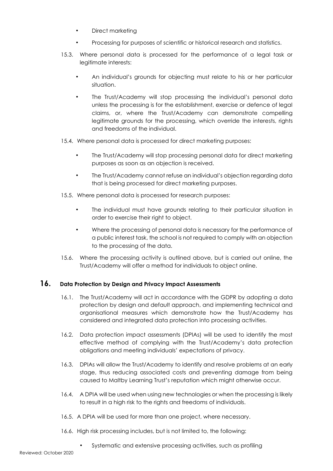- Direct marketing
- Processing for purposes of scientific or historical research and statistics.
- 15.3. Where personal data is processed for the performance of a legal task or legitimate interests:
	- An individual's grounds for objecting must relate to his or her particular situation.
	- The Trust/Academy will stop processing the individual's personal data unless the processing is for the establishment, exercise or defence of legal claims, or, where the Trust/Academy can demonstrate compelling legitimate grounds for the processing, which override the interests, rights and freedoms of the individual.
- 15.4. Where personal data is processed for direct marketing purposes:
	- The Trust/Academy will stop processing personal data for direct marketing purposes as soon as an objection is received.
	- The Trust/Academy cannot refuse an individual's objection regarding data that is being processed for direct marketing purposes.
- 15.5. Where personal data is processed for research purposes:
	- The individual must have grounds relating to their particular situation in order to exercise their right to object.
	- Where the processing of personal data is necessary for the performance of a public interest task, the school is not required to comply with an objection to the processing of the data.
- 15.6. Where the processing activity is outlined above, but is carried out online, the Trust/Academy will offer a method for individuals to object online.

# **16. Data Protection by Design and Privacy Impact Assessments**

- 16.1. The Trust/Academy will act in accordance with the GDPR by adopting a data protection by design and default approach, and implementing technical and organisational measures which demonstrate how the Trust/Academy has considered and integrated data protection into processing activities.
- 16.2. Data protection impact assessments (DPIAs) will be used to identify the most effective method of complying with the Trust/Academy's data protection obligations and meeting individuals' expectations of privacy.
- 16.3. DPIAs will allow the Trust/Academy to identify and resolve problems at an early stage, thus reducing associated costs and preventing damage from being caused to Maltby Learning Trust's reputation which might otherwise occur.
- 16.4. A DPIA will be used when using new technologies or when the processing is likely to result in a high risk to the rights and freedoms of individuals.
- 16.5. A DPIA will be used for more than one project, where necessary.
- 16.6. High risk processing includes, but is not limited to, the following:
	- Systematic and extensive processing activities, such as profiling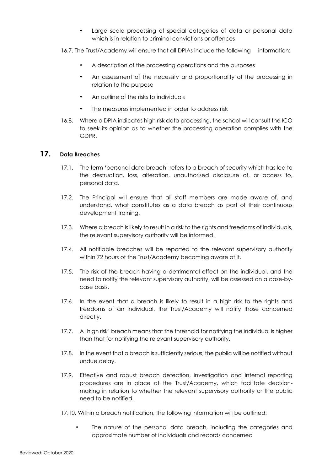- Large scale processing of special categories of data or personal data which is in relation to criminal convictions or offences
- 16.7. The Trust/Academy will ensure that all DPIAs include the following information:
	- A description of the processing operations and the purposes
	- An assessment of the necessity and proportionality of the processing in relation to the purpose
	- An outline of the risks to individuals
	- The measures implemented in order to address risk
- 16.8. Where a DPIA indicates high risk data processing, the school will consult the ICO to seek its opinion as to whether the processing operation complies with the GDPR.

# **17. Data Breaches**

- 17.1. The term 'personal data breach' refers to a breach of security which has led to the destruction, loss, alteration, unauthorised disclosure of, or access to, personal data.
- 17.2. The Principal will ensure that all staff members are made aware of, and understand, what constitutes as a data breach as part of their continuous development training.
- 17.3. Where a breach is likely to result in a risk to the rights and freedoms of individuals, the relevant supervisory authority will be informed.
- 17.4. All notifiable breaches will be reported to the relevant supervisory authority within 72 hours of the Trust/Academy becoming aware of it.
- 17.5. The risk of the breach having a detrimental effect on the individual, and the need to notify the relevant supervisory authority, will be assessed on a case-bycase basis.
- 17.6. In the event that a breach is likely to result in a high risk to the rights and freedoms of an individual, the Trust/Academy will notify those concerned directly.
- 17.7. A 'high risk' breach means that the threshold for notifying the individual is higher than that for notifying the relevant supervisory authority.
- 17.8. In the event that a breach is sufficiently serious, the public will be notified without undue delay.
- 17.9. Effective and robust breach detection, investigation and internal reporting procedures are in place at the Trust/Academy, which facilitate decisionmaking in relation to whether the relevant supervisory authority or the public need to be notified.
- 17.10. Within a breach notification, the following information will be outlined:
	- The nature of the personal data breach, including the categories and approximate number of individuals and records concerned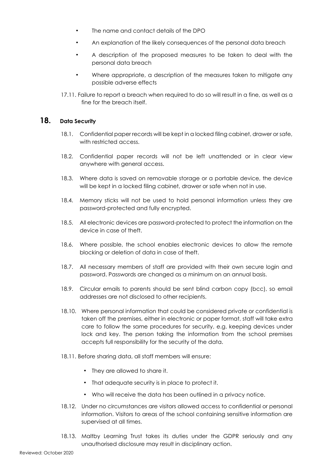- The name and contact details of the DPO
- An explanation of the likely consequences of the personal data breach
- A description of the proposed measures to be taken to deal with the personal data breach
- Where appropriate, a description of the measures taken to mitigate any possible adverse effects
- 17.11. Failure to report a breach when required to do so will result in a fine, as well as a fine for the breach itself.

# **18. Data Security**

- 18.1. Confidential paper records will be kept in a locked filing cabinet, drawer or safe, with restricted access.
- 18.2. Confidential paper records will not be left unattended or in clear view anywhere with general access.
- 18.3. Where data is saved on removable storage or a portable device, the device will be kept in a locked filing cabinet, drawer or safe when not in use.
- 18.4. Memory sticks will not be used to hold personal information unless they are password-protected and fully encrypted.
- 18.5. All electronic devices are password-protected to protect the information on the device in case of theft.
- 18.6. Where possible, the school enables electronic devices to allow the remote blocking or deletion of data in case of theft.
- 18.7. All necessary members of staff are provided with their own secure login and password. Passwords are changed as a minimum on an annual basis.
- 18.9. Circular emails to parents should be sent blind carbon copy (bcc), so email addresses are not disclosed to other recipients.
- 18.10. Where personal information that could be considered private or confidential is taken off the premises, either in electronic or paper format, staff will take extra care to follow the same procedures for security, e.g. keeping devices under lock and key. The person taking the information from the school premises accepts full responsibility for the security of the data.
- 18.11. Before sharing data, all staff members will ensure:
	- They are allowed to share it.
	- That adequate security is in place to protect it.
	- Who will receive the data has been outlined in a privacy notice.
- 18.12. Under no circumstances are visitors allowed access to confidential or personal information. Visitors to areas of the school containing sensitive information are supervised at all times.
- 18.13. Maltby Learning Trust takes its duties under the GDPR seriously and any unauthorised disclosure may result in disciplinary action.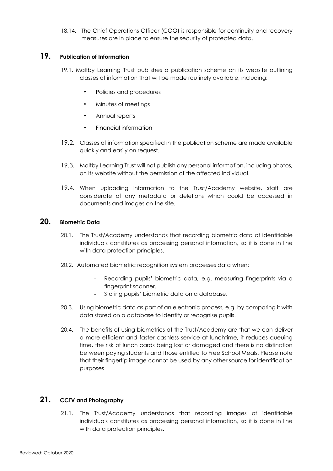18.14. The Chief Operations Officer (COO) is responsible for continuity and recovery measures are in place to ensure the security of protected data.

# **19. Publication of Information**

- 19.1. Maltby Learning Trust publishes a publication scheme on its website outlining classes of information that will be made routinely available, including:
	- Policies and procedures
	- Minutes of meetings
	- Annual reports
	- Financial information
- 19.2. Classes of information specified in the publication scheme are made available quickly and easily on request.
- 19.3. Maltby Learning Trust will not publish any personal information, including photos, on its website without the permission of the affected individual.
- 19.4. When uploading information to the Trust/Academy website, staff are considerate of any metadata or deletions which could be accessed in documents and images on the site.

#### **20. Biometric Data**

- 20.1. The Trust/Academy understands that recording biometric data of identifiable individuals constitutes as processing personal information, so it is done in line with data protection principles.
- 20.2. Automated biometric recognition system processes data when:
	- Recording pupils' biometric data, e.g. measuring fingerprints via a fingerprint scanner.
	- Storing pupils' biometric data on a database.
- 20.3. Using biometric data as part of an electronic process, e.g. by comparing it with data stored on a database to identify or recognise pupils.
- 20.4. The benefits of using biometrics at the Trust/Academy are that we can deliver a more efficient and faster cashless service at lunchtime, it reduces queuing time, the risk of lunch cards being lost or damaged and there is no distinction between paying students and those entitled to Free School Meals. Please note that their fingertip image cannot be used by any other source for identification purposes

# **21. CCTV and Photography**

21.1. The Trust/Academy understands that recording images of identifiable individuals constitutes as processing personal information, so it is done in line with data protection principles.